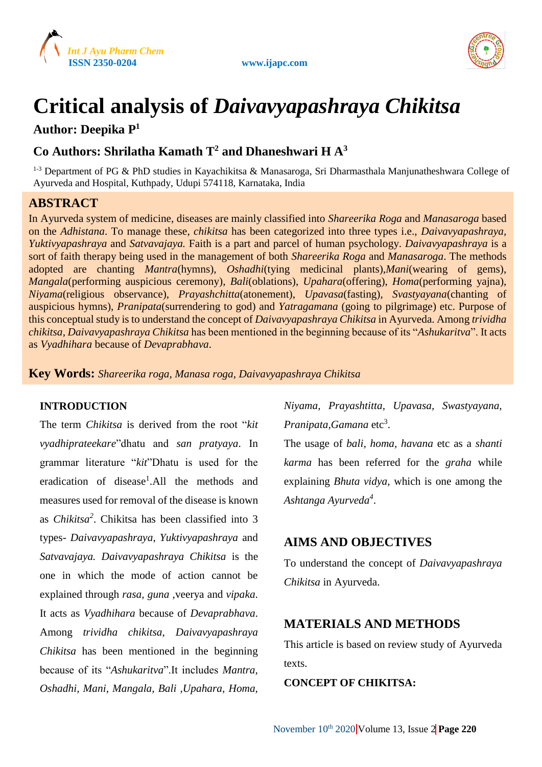



# **Critical analysis of** *Daivavyapashraya Chikitsa*

### **Author: Deepika P<sup>1</sup>**

# **Co Authors: Shrilatha Kamath T<sup>2</sup> and Dhaneshwari H A<sup>3</sup>**

<sup>1-3</sup> Department of PG & PhD studies in Kayachikitsa & Manasaroga, Sri Dharmasthala Manjunatheshwara College of Ayurveda and Hospital, Kuthpady, Udupi 574118, Karnataka, India

## **ABSTRACT**

In Ayurveda system of medicine, diseases are mainly classified into *Shareerika Roga* and *Manasaroga* based on the *Adhistana*. To manage these, *chikitsa* has been categorized into three types i.e., *Daivavyapashraya, Yuktivyapashraya* and *Satvavajaya.* Faith is a part and parcel of human psychology. *Daivavyapashraya* is a sort of faith therapy being used in the management of both *Shareerika Roga* and *Manasaroga*. The methods adopted are chanting *Mantra*(hymns), *Oshadhi*(tying medicinal plants),*Mani*(wearing of gems), *Mangala*(performing auspicious ceremony), *Bali*(oblations), *Upahara*(offering), *Homa*(performing yajna), *Niyama*(religious observance), *Prayashchitta*(atonement), *Upavasa*(fasting), *Svastyayana*(chanting of auspicious hymns), *Pranipata*(surrendering to god) and *Yatragamana* (going to pilgrimage) etc. Purpose of this conceptual study is to understand the concept of *Daivavyapashraya Chikitsa* in Ayurveda. Among *trividha chikitsa, Daivavyapashraya Chikitsa* has been mentioned in the beginning because of its "*Ashukaritva*". It acts as *Vyadhihara* because of *Devaprabhava*.

**Key Words:** *Shareerika roga, Manasa roga, Daivavyapashraya Chikitsa*

#### **INTRODUCTION**

The term *Chikitsa* is derived from the root "*kit vyadhiprateekare*"dhatu and *san pratyaya*. In grammar literature "*kit*"Dhatu is used for the eradication of disease<sup>1</sup>.All the methods and measures used for removal of the disease is known as *Chikitsa<sup>2</sup>* . Chikitsa has been classified into 3 types- *Daivavyapashraya, Yuktivyapashraya* and *Satvavajaya. Daivavyapashraya Chikitsa* is the one in which the mode of action cannot be explained through *rasa, guna ,*veerya and *vipaka*. It acts as *Vyadhihara* because of *Devaprabhava*. Among *trividha chikitsa*, *Daivavyapashraya Chikitsa* has been mentioned in the beginning because of its "*Ashukaritva*".It includes *Mantra, Oshadhi, Mani, Mangala, Bali ,Upahara, Homa,*

*Niyama, Prayashtitta, Upavasa, Swastyayana,* Pranipata, Gamana etc<sup>3</sup>.

The usage of *bali, homa, havana* etc as a *shanti karma* has been referred for the *graha* while explaining *Bhuta vidya*, which is one among the *Ashtanga Ayurveda<sup>4</sup>* .

# **AIMS AND OBJECTIVES**

To understand the concept of *Daivavyapashraya Chikitsa* in Ayurveda.

# **MATERIALS AND METHODS**

This article is based on review study of Ayurveda texts.

#### **CONCEPT OF CHIKITSA:**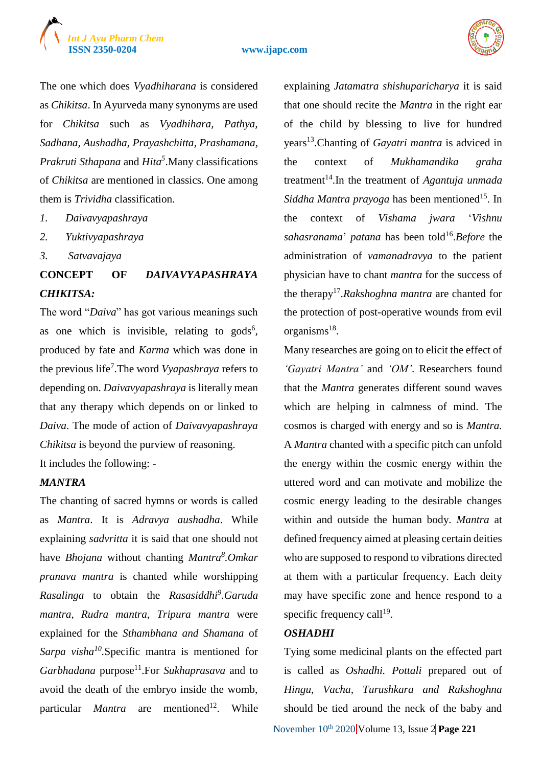



The one which does *Vyadhiharana* is considered as *Chikitsa*. In Ayurveda many synonyms are used for *Chikitsa* such as *Vyadhihara, Pathya, Sadhana, Aushadha, Prayashchitta, Prashamana, Prakruti Sthapana* and *Hita<sup>5</sup>* .Many classifications of *Chikitsa* are mentioned in classics. One among them is *Trividha* classification.

- *1. Daivavyapashraya*
- *2. Yuktivyapashraya*
- *3. Satvavajaya*

# **CONCEPT OF** *DAIVAVYAPASHRAYA CHIKITSA:*

The word "*Daiva*" has got various meanings such as one which is invisible, relating to  $\text{gods}^6$ , produced by fate and *Karma* which was done in the previous life<sup>7</sup> .The word *Vyapashraya* refers to depending on. *Daivavyapashraya* is literally mean that any therapy which depends on or linked to *Daiva*. The mode of action of *Daivavyapashraya Chikitsa* is beyond the purview of reasoning. It includes the following: -

#### *MANTRA*

The chanting of sacred hymns or words is called as *Mantra*. It is *Adravya aushadha*. While explaining *sadvritta* it is said that one should not have *Bhojana* without chanting *Mantra<sup>8</sup> .Omkar pranava mantra* is chanted while worshipping *Rasalinga* to obtain the *Rasasiddhi<sup>9</sup> .Garuda mantra, Rudra mantra, Tripura mantra* were explained for the *Sthambhana and Shamana* of *Sarpa visha<sup>10</sup> .*Specific mantra is mentioned for *Garbhadana* purpose<sup>11</sup>.For *Sukhaprasava* and to avoid the death of the embryo inside the womb, particular *Mantra* are mentioned<sup>12</sup>. . While

explaining *Jatamatra shishuparicharya* it is said that one should recite the *Mantra* in the right ear of the child by blessing to live for hundred years<sup>13</sup>.Chanting of *Gayatri mantra* is adviced in the context of *Mukhamandika graha*  treatment<sup>14</sup>. In the treatment of *Agantuja unmada Siddha Mantra prayoga* has been mentioned<sup>15</sup>. In the context of *Vishama jwara* '*Vishnu*  sahasranama' patana has been told<sup>16</sup>. Before the administration of *vamanadravya* to the patient physician have to chant *mantra* for the success of the therapy<sup>17</sup>.*Rakshoghna mantra* are chanted for the protection of post-operative wounds from evil organisms<sup>18</sup>.

Many researches are going on to elicit the effect of *'Gayatri Mantra'* and *'OM'*. Researchers found that the *Mantra* generates different sound waves which are helping in calmness of mind. The cosmos is charged with energy and so is *Mantra.*  A *Mantra* chanted with a specific pitch can unfold the energy within the cosmic energy within the uttered word and can motivate and mobilize the cosmic energy leading to the desirable changes within and outside the human body. *Mantra* at defined frequency aimed at pleasing certain deities who are supposed to respond to vibrations directed at them with a particular frequency. Each deity may have specific zone and hence respond to a specific frequency call<sup>19</sup>.

#### *OSHADHI*

Tying some medicinal plants on the effected part is called as *Oshadhi. Pottali* prepared out of *Hingu, Vacha, Turushkara and Rakshoghna*  should be tied around the neck of the baby and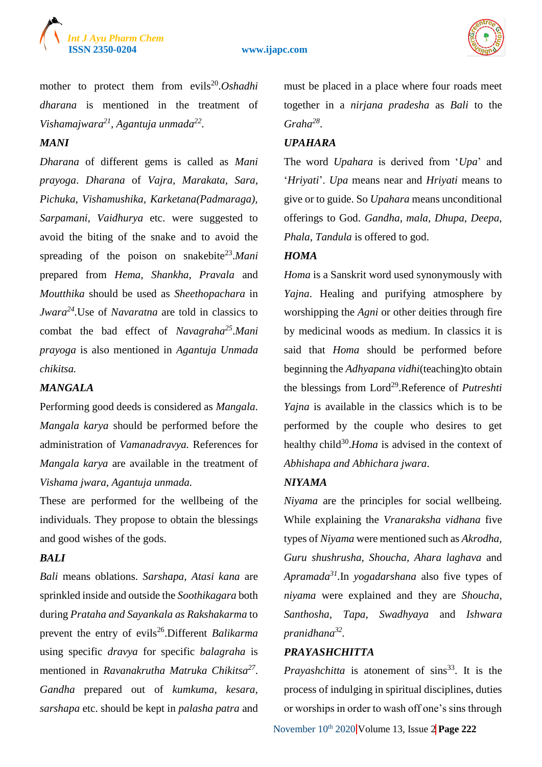



mother to protect them from evils<sup>20</sup>.Oshadhi *dharana* is mentioned in the treatment of *Vishamajwara<sup>21</sup> , Agantuja unmada<sup>22</sup> .*

#### *MANI*

*Dharana* of different gems is called as *Mani prayoga*. *Dharana* of *Vajra, Marakata, Sara, Pichuka, Vishamushika, Karketana(Padmaraga), Sarpamani, Vaidhurya* etc. were suggested to avoid the biting of the snake and to avoid the spreading of the poison on snakebite<sup>23</sup>.Mani prepared from *Hema, Shankha, Pravala* and *Moutthika* should be used as *Sheethopachara* in *Jwara<sup>24</sup> .*Use of *Navaratna* are told in classics to combat the bad effect of *Navagraha<sup>25</sup>* .*Mani prayoga* is also mentioned in *Agantuja Unmada chikitsa.*

#### *MANGALA*

Performing good deeds is considered as *Mangala*. *Mangala karya* should be performed before the administration of *Vamanadravya.* References for *Mangala karya* are available in the treatment of *Vishama jwara, Agantuja unmada.*

These are performed for the wellbeing of the individuals. They propose to obtain the blessings and good wishes of the gods.

#### *BALI*

*Bali* means oblations. *Sarshapa, Atasi kana* are sprinkled inside and outside the *Soothikagara* both during *Prataha and Sayankala as Rakshakarma* to prevent the entry of evils<sup>26</sup>.Different *Balikarma* using specific *dravya* for specific *balagraha* is mentioned in *Ravanakrutha Matruka Chikitsa<sup>27</sup>* . *Gandha* prepared out of *kumkuma, kesara, sarshapa* etc. should be kept in *palasha patra* and

must be placed in a place where four roads meet together in a *nirjana pradesha* as *Bali* to the *Graha<sup>28</sup>* .

#### *UPAHARA*

The word *Upahara* is derived from '*Upa*' and '*Hriyati*'. *Upa* means near and *Hriyati* means to give or to guide. So *Upahara* means unconditional offerings to God. *Gandha, mala, Dhupa, Deepa, Phala, Tandula* is offered to god.

#### *HOMA*

*Homa* is a Sanskrit word used synonymously with *Yajna*. Healing and purifying atmosphere by worshipping the *Agni* or other deities through fire by medicinal woods as medium. In classics it is said that *Homa* should be performed before beginning the *Adhyapana vidhi*(teaching)to obtain the blessings from Lord<sup>29</sup>.Reference of *Putreshti Yajna* is available in the classics which is to be performed by the couple who desires to get healthy child<sup>30</sup>. Homa is advised in the context of *Abhishapa and Abhichara jwara*.

#### *NIYAMA*

*Niyama* are the principles for social wellbeing. While explaining the *Vranaraksha vidhana* five types of *Niyama* were mentioned such as *Akrodha, Guru shushrusha, Shoucha, Ahara laghava* and *Apramada<sup>31</sup> .*In *yogadarshana* also five types of *niyama* were explained and they are *Shoucha, Santhosha, Tapa, Swadhyaya* and *Ishwara pranidhana<sup>32</sup> .*

#### *PRAYASHCHITTA*

*Prayashchitta* is atonement of sins<sup>33</sup>. It is the process of indulging in spiritual disciplines, duties or worships in order to wash off one's sins through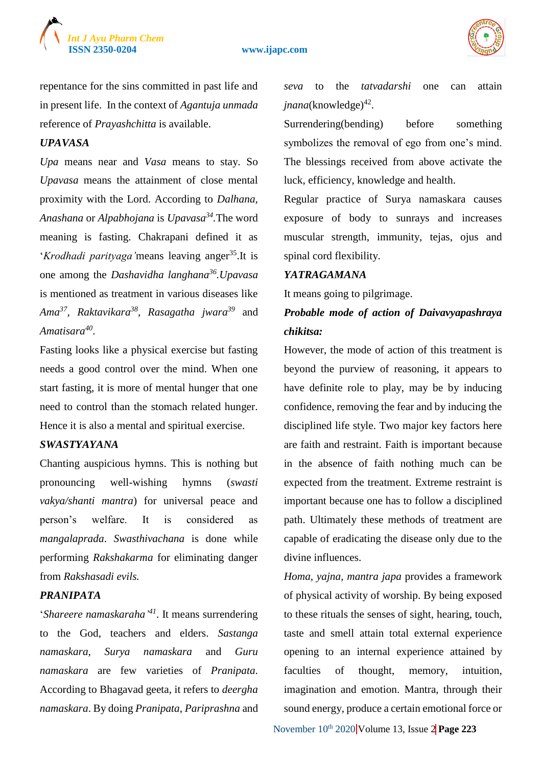



repentance for the sins committed in past life and in present life. In the context of *Agantuja unmada*  reference of *Prayashchitta* is available.

#### *UPAVASA*

*Upa* means near and *Vasa* means to stay. So *Upavasa* means the attainment of close mental proximity with the Lord. According to *Dalhana, Anashana* or *Alpabhojana* is *Upavasa<sup>34</sup> .*The word meaning is fasting. Chakrapani defined it as *'Krodhadi parityaga'* means leaving anger<sup>35</sup>. It is one among the *Dashavidha langhana<sup>36</sup>.Upavasa*  is mentioned as treatment in various diseases like *Ama<sup>37</sup>, Raktavikara<sup>38</sup> , Rasagatha jwara<sup>39</sup>* and *Amatisara<sup>40</sup>* .

Fasting looks like a physical exercise but fasting needs a good control over the mind. When one start fasting, it is more of mental hunger that one need to control than the stomach related hunger. Hence it is also a mental and spiritual exercise.

#### *SWASTYAYANA*

Chanting auspicious hymns. This is nothing but pronouncing well-wishing hymns (*swasti vakya/shanti mantra*) for universal peace and person's welfare. It is considered as *mangalaprada*. *Swasthivachana* is done while performing *Rakshakarma* for eliminating danger from *Rakshasadi evils.*

#### *PRANIPATA*

'*Shareere namaskaraha' <sup>41</sup>*. It means surrendering to the God, teachers and elders. *Sastanga namaskara, Surya namaskara* and *Guru namaskara* are few varieties of *Pranipata*. According to Bhagavad geeta, it refers to *deergha namaskara*. By doing *Pranipata, Pariprashna* and

*seva* to the *tatvadarshi* one can attain jnana(knowledge)<sup>42</sup>.

Surrendering(bending) before something symbolizes the removal of ego from one's mind. The blessings received from above activate the luck, efficiency, knowledge and health.

Regular practice of Surya namaskara causes exposure of body to sunrays and increases muscular strength, immunity, tejas, ojus and spinal cord flexibility.

#### *YATRAGAMANA*

It means going to pilgrimage.

# *Probable mode of action of Daivavyapashraya chikitsa:*

However, the mode of action of this treatment is beyond the purview of reasoning, it appears to have definite role to play, may be by inducing confidence, removing the fear and by inducing the disciplined life style. Two major key factors here are faith and restraint. Faith is important because in the absence of faith nothing much can be expected from the treatment. Extreme restraint is important because one has to follow a disciplined path. Ultimately these methods of treatment are capable of eradicating the disease only due to the divine influences.

*Homa, yajna, mantra japa* provides a framework of physical activity of worship. By being exposed to these rituals the senses of sight, hearing, touch, taste and smell attain total external experience opening to an internal experience attained by faculties of thought, memory, intuition, imagination and emotion. Mantra, through their sound energy, produce a certain emotional force or

November  $10^{th}$  2020 Volume 13, Issue 2 **Page 223**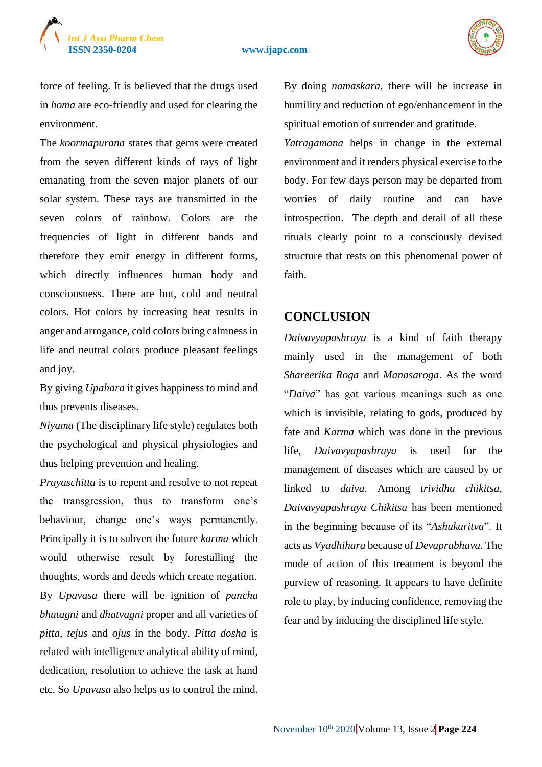

force of feeling. It is believed that the drugs used in *homa* are eco-friendly and used for clearing the environment.

The *koormapurana* states that gems were created from the seven different kinds of rays of light emanating from the seven major planets of our solar system. These rays are transmitted in the seven colors of rainbow. Colors are the frequencies of light in different bands and therefore they emit energy in different forms, which directly influences human body and consciousness. There are hot, cold and neutral colors. Hot colors by increasing heat results in anger and arrogance, cold colors bring calmness in life and neutral colors produce pleasant feelings and joy.

By giving *Upahara* it gives happiness to mind and thus prevents diseases.

*Niyama* (The disciplinary life style) regulates both the psychological and physical physiologies and thus helping prevention and healing.

*Prayaschitta* is to repent and resolve to not repeat the transgression, thus to transform one's behaviour, change one's ways permanently. Principally it is to subvert the future *karma* which would otherwise result by forestalling the thoughts, words and deeds which create negation. By *Upavasa* there will be ignition of *pancha bhutagni* and *dhatvagni* proper and all varieties of *pitta, tejus* and *ojus* in the body. *Pitta dosha* is related with intelligence analytical ability of mind, dedication, resolution to achieve the task at hand etc. So *Upavasa* also helps us to control the mind.

By doing *namaskara*, there will be increase in humility and reduction of ego/enhancement in the spiritual emotion of surrender and gratitude.

*Yatragamana* helps in change in the external environment and it renders physical exercise to the body. For few days person may be departed from worries of daily routine and can have introspection. The depth and detail of all these rituals clearly point to a consciously devised structure that rests on this phenomenal power of faith.

#### **CONCLUSION**

*Daivavyapashraya* is a kind of faith therapy mainly used in the management of both *Shareerika Roga* and *Manasaroga*. As the word "*Daiva*" has got various meanings such as one which is invisible, relating to gods, produced by fate and *Karma* which was done in the previous life, *Daivavyapashraya* is used for the management of diseases which are caused by or linked to *daiva*. Among *trividha chikitsa, Daivavyapashraya Chikitsa* has been mentioned in the beginning because of its "*Ashukaritva*". It acts as *Vyadhihara* because of *Devaprabhava*. The mode of action of this treatment is beyond the purview of reasoning. It appears to have definite role to play, by inducing confidence, removing the fear and by inducing the disciplined life style.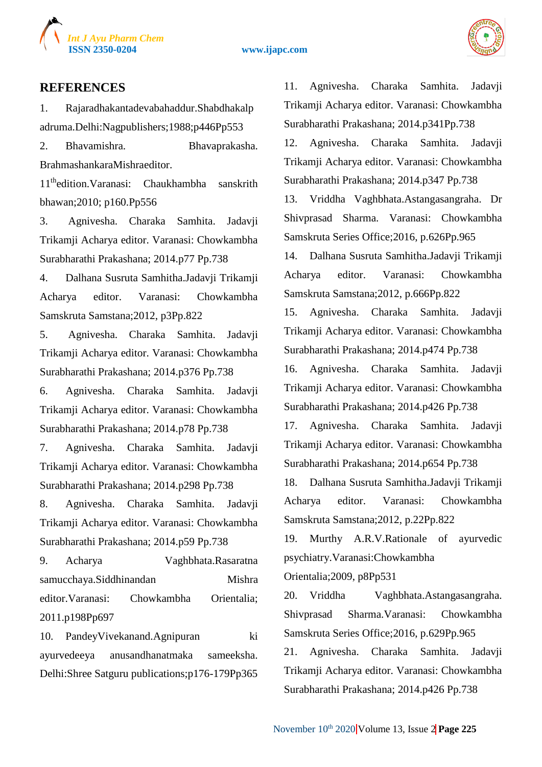



#### **REFERENCES**

1. Rajaradhakantadevabahaddur.Shabdhakalp adruma.Delhi:Nagpublishers;1988;p446Pp553

2. Bhavamishra. Bhavaprakasha. BrahmashankaraMishraeditor.

11thedition.Varanasi: Chaukhambha sanskrith bhawan;2010; p160.Pp556

3. Agnivesha. Charaka Samhita. Jadavji Trikamji Acharya editor. Varanasi: Chowkambha Surabharathi Prakashana; 2014.p77 Pp.738

4. Dalhana Susruta Samhitha.Jadavji Trikamji Acharya editor. Varanasi: Chowkambha Samskruta Samstana;2012, p3Pp.822

5. Agnivesha. Charaka Samhita. Jadavji Trikamji Acharya editor. Varanasi: Chowkambha Surabharathi Prakashana; 2014.p376 Pp.738

6. Agnivesha. Charaka Samhita. Jadavji Trikamji Acharya editor. Varanasi: Chowkambha Surabharathi Prakashana; 2014.p78 Pp.738

7. Agnivesha. Charaka Samhita. Jadavji Trikamji Acharya editor. Varanasi: Chowkambha Surabharathi Prakashana; 2014.p298 Pp.738

8. Agnivesha. Charaka Samhita. Jadavji Trikamji Acharya editor. Varanasi: Chowkambha Surabharathi Prakashana; 2014.p59 Pp.738

9. Acharya Vaghbhata.Rasaratna samucchaya.Siddhinandan Mishra editor.Varanasi: Chowkambha Orientalia; 2011.p198Pp697

10. PandeyVivekanand.Agnipuran ki ayurvedeeya anusandhanatmaka sameeksha. Delhi:Shree Satguru publications;p176-179Pp365

11. Agnivesha. Charaka Samhita. Jadavji Trikamji Acharya editor. Varanasi: Chowkambha Surabharathi Prakashana; 2014.p341Pp.738 12. Agnivesha. Charaka Samhita. Jadavji

Trikamji Acharya editor. Varanasi: Chowkambha Surabharathi Prakashana; 2014.p347 Pp.738

13. Vriddha Vaghbhata.Astangasangraha. Dr Shivprasad Sharma. Varanasi: Chowkambha Samskruta Series Office;2016, p.626Pp.965

14. Dalhana Susruta Samhitha.Jadavji Trikamji Acharya editor. Varanasi: Chowkambha Samskruta Samstana;2012, p.666Pp.822

15. Agnivesha. Charaka Samhita. Jadavji Trikamji Acharya editor. Varanasi: Chowkambha Surabharathi Prakashana; 2014.p474 Pp.738

16. Agnivesha. Charaka Samhita. Jadavji Trikamji Acharya editor. Varanasi: Chowkambha Surabharathi Prakashana; 2014.p426 Pp.738

17. Agnivesha. Charaka Samhita. Jadavji Trikamji Acharya editor. Varanasi: Chowkambha Surabharathi Prakashana; 2014.p654 Pp.738

18. Dalhana Susruta Samhitha.Jadavji Trikamji Acharya editor. Varanasi: Chowkambha Samskruta Samstana;2012, p.22Pp.822

19. Murthy A.R.V.Rationale of ayurvedic psychiatry.Varanasi:Chowkambha

Orientalia;2009, p8Pp531

20. Vriddha Vaghbhata.Astangasangraha. Shivprasad Sharma.Varanasi: Chowkambha Samskruta Series Office;2016, p.629Pp.965

21. Agnivesha. Charaka Samhita. Jadavji Trikamji Acharya editor. Varanasi: Chowkambha Surabharathi Prakashana; 2014.p426 Pp.738